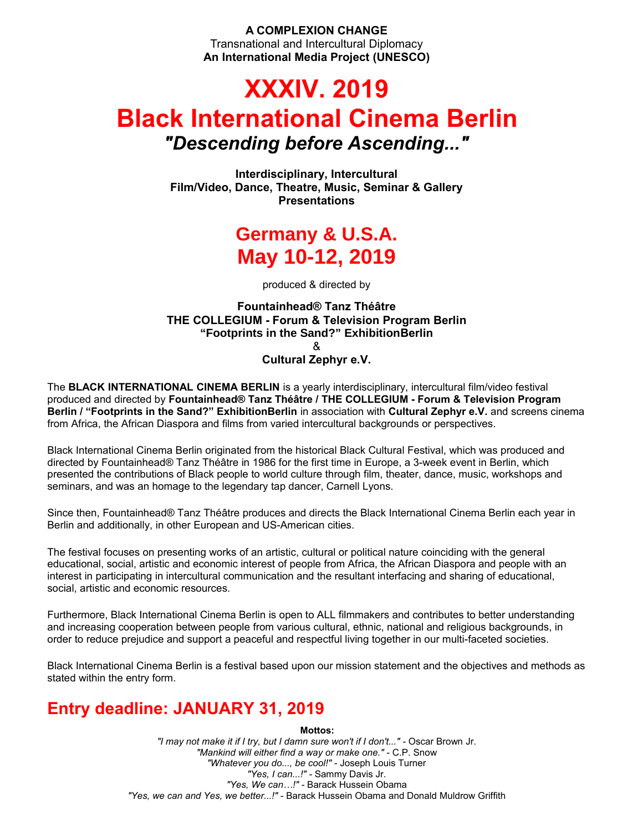**A COMPLEXION CHANGE** Transnational and Intercultural Diplomacy **An International Media Project (UNESCO)**

# **XXXIV. 2019 Black International Cinema Berlin** *"Descending before Ascending..."*

**Interdisciplinary, Intercultural Film/Video, Dance, Theatre, Music, Seminar & Gallery Presentations**

## **Germany & U.S.A. May 10-12, 2019**

produced & directed by

### **Fountainhead® Tanz Théâtre THE COLLEGIUM - Forum & Television Program Berlin "Footprints in the Sand?" ExhibitionBerlin** & **Cultural Zephyr e.V.**

The **BLACK INTERNATIONAL CINEMA BERLIN** is a yearly interdisciplinary, intercultural film/video festival produced and directed by **Fountainhead® Tanz Théâtre / THE COLLEGIUM - Forum & Television Program Berlin / "Footprints in the Sand?" ExhibitionBerlin** in association with **Cultural Zephyr e.V.** and screens cinema from Africa, the African Diaspora and films from varied intercultural backgrounds or perspectives.

Black International Cinema Berlin originated from the historical Black Cultural Festival, which was produced and directed by Fountainhead® Tanz Théâtre in 1986 for the first time in Europe, a 3-week event in Berlin, which presented the contributions of Black people to world culture through film, theater, dance, music, workshops and seminars, and was an homage to the legendary tap dancer, Carnell Lyons.

Since then, Fountainhead® Tanz Théâtre produces and directs the Black International Cinema Berlin each year in Berlin and additionally, in other European and US-American cities.

The festival focuses on presenting works of an artistic, cultural or political nature coinciding with the general educational, social, artistic and economic interest of people from Africa, the African Diaspora and people with an interest in participating in intercultural communication and the resultant interfacing and sharing of educational, social, artistic and economic resources.

Furthermore, Black International Cinema Berlin is open to ALL filmmakers and contributes to better understanding and increasing cooperation between people from various cultural, ethnic, national and religious backgrounds, in order to reduce prejudice and support a peaceful and respectful living together in our multi-faceted societies.

Black International Cinema Berlin is a festival based upon our mission statement and the objectives and methods as stated within the entry form.

## **Entry deadline: JANUARY 31, 2019**

#### **Mottos:**

*"I may not make it if I try, but I damn sure won't if I don't..."* - Oscar Brown Jr. *"Mankind will either find a way or make one." -* C.P. Snow *"Whatever you do..., be cool!" -* Joseph Louis Turner *"Yes, I can...!" -* Sammy Davis Jr. *"Yes, We can…!" -* Barack Hussein Obama *"Yes, we can and Yes, we better...!" -* Barack Hussein Obama and Donald Muldrow Griffith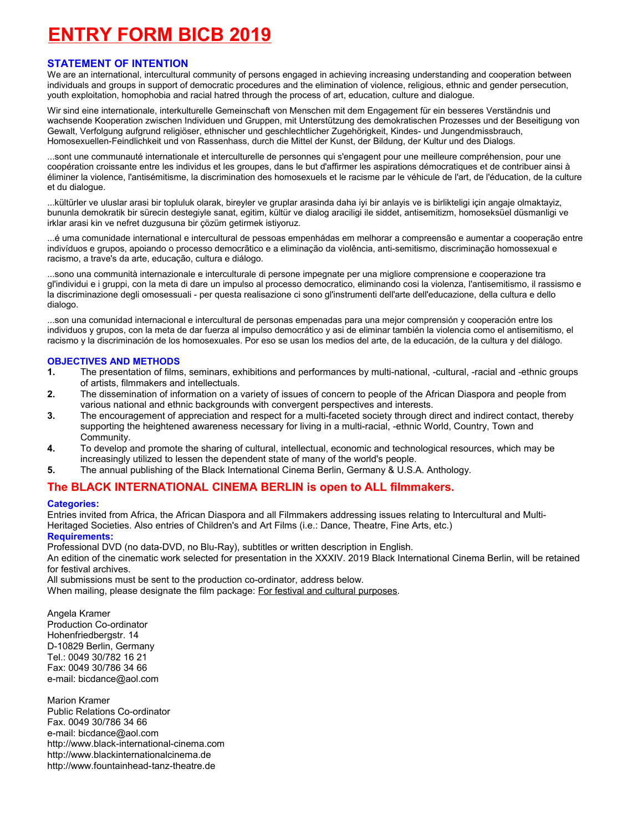## **ENTRY FORM BICB 2019**

#### **STATEMENT OF INTENTION**

We are an international, intercultural community of persons engaged in achieving increasing understanding and cooperation between individuals and groups in support of democratic procedures and the elimination of violence, religious, ethnic and gender persecution, youth exploitation, homophobia and racial hatred through the process of art, education, culture and dialogue.

Wir sind eine internationale, interkulturelle Gemeinschaft von Menschen mit dem Engagement für ein besseres Verständnis und wachsende Kooperation zwischen Individuen und Gruppen, mit Unterstützung des demokratischen Prozesses und der Beseitigung von Gewalt, Verfolgung aufgrund religiöser, ethnischer und geschlechtlicher Zugehörigkeit, Kindes- und Jungendmissbrauch, Homosexuellen-Feindlichkeit und von Rassenhass, durch die Mittel der Kunst, der Bildung, der Kultur und des Dialogs.

...sont une communauté internationale et interculturelle de personnes qui s'engagent pour une meilleure compréhension, pour une coopération croissante entre les individus et les groupes, dans le but d'affirmer les aspirations démocratiques et de contribuer ainsi à éliminer la violence, l'antisémitisme, la discrimination des homosexuels et le racisme par le véhicule de l'art, de l'éducation, de la culture et du dialogue.

...kültürler ve uluslar arasi bir topluluk olarak, bireyler ve gruplar arasinda daha iyi bir anlayis ve is birlikteligi için angaje olmaktayiz, bununla demokratik bir sürecin destegiyle sanat, egitim, kültür ve dialog araciligi ile siddet, antisemitizm, homoseksüel düsmanligi ve irklar arasi kin ve nefret duzgusuna bir çözüm getirmek istiyoruz.

...é uma comunidade international e intercultural de pessoas empenhádas em melhorar a compreensão e aumentar a cooperação entre indivíduos e grupos, apoiando o processo democrãtico e a eliminação da violência, anti-semitismo, discriminação homossexual e racismo, a trave's da arte, educação, cultura e diálogo.

...sono una communità internazionale e interculturale di persone impegnate per una migliore comprensione e cooperazione tra gl'individui e i gruppi, con la meta di dare un impulso al processo democratico, eliminando cosi la violenza, l'antisemitismo, il rassismo e la discriminazione degli omosessuali - per questa realisazione ci sono gl'instrumenti dell'arte dell'educazione, della cultura e dello dialogo.

...son una comunidad internacional e intercultural de personas empenadas para una mejor comprensión y cooperación entre los individuos y grupos, con la meta de dar fuerza al impulso democrático y asi de eliminar también la violencia como el antisemitismo, el racismo y la discriminación de los homosexuales. Por eso se usan los medios del arte, de la educación, de la cultura y del diálogo.

#### **OBJECTIVES AND METHODS**

- **1.** The presentation of films, seminars, exhibitions and performances by multi-national, -cultural, -racial and -ethnic groups of artists, filmmakers and intellectuals.
- **2.** The dissemination of information on a variety of issues of concern to people of the African Diaspora and people from various national and ethnic backgrounds with convergent perspectives and interests.
- **3.** The encouragement of appreciation and respect for a multi-faceted society through direct and indirect contact, thereby supporting the heightened awareness necessary for living in a multi-racial, -ethnic World, Country, Town and Community.
- **4.** To develop and promote the sharing of cultural, intellectual, economic and technological resources, which may be increasingly utilized to lessen the dependent state of many of the world's people.
- **5.** The annual publishing of the Black International Cinema Berlin, Germany & U.S.A. Anthology.

### **The BLACK INTERNATIONAL CINEMA BERLIN is open to ALL filmmakers.**

#### **Categories:**

Entries invited from Africa, the African Diaspora and all Filmmakers addressing issues relating to Intercultural and Multi-Heritaged Societies. Also entries of Children's and Art Films (i.e.: Dance, Theatre, Fine Arts, etc.) **Requirements:**

Professional DVD (no data-DVD, no Blu-Ray), subtitles or written description in English.

An edition of the cinematic work selected for presentation in the XXXIV. 2019 Black International Cinema Berlin, will be retained for festival archives.

All submissions must be sent to the production co-ordinator, address below.

When mailing, please designate the film package: For festival and cultural purposes.

Angela Kramer Production Co-ordinator Hohenfriedbergstr. 14 D-10829 Berlin, Germany Tel.: 0049 30/782 16 21 Fax: 0049 30/786 34 66 e-mail: bicdance@aol.com

Marion Kramer Public Relations Co-ordinator Fax. 0049 30/786 34 66 e-mail: bicdance@aol.com http://www.black-international-cinema.com http://www.blackinternationalcinema.de http://www.fountainhead-tanz-theatre.de